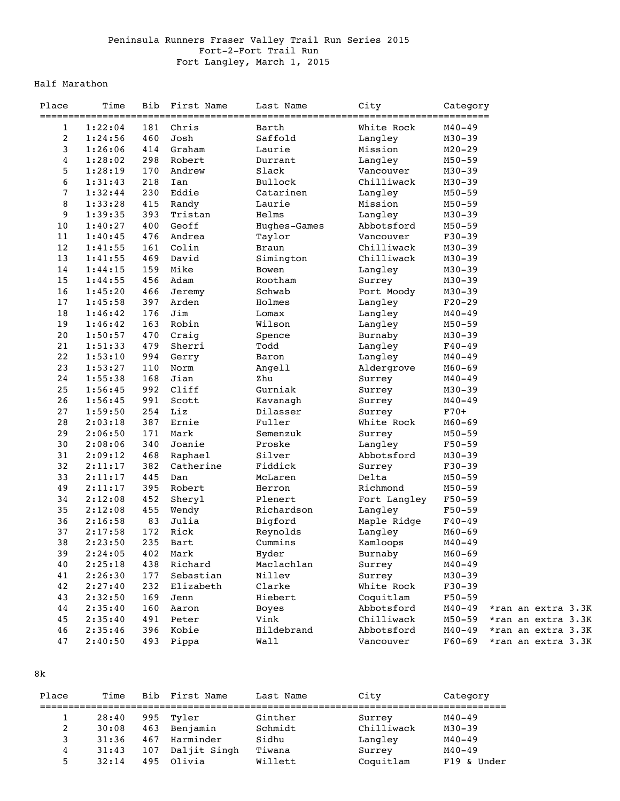## Peninsula Runners Fraser Valley Trail Run Series 2015 Fort-2-Fort Trail Run Fort Langley, March 1, 2015

## Half Marathon

| Place          | Time               | Bib | First Name | Last Name<br>============ | City            | Category<br>======     |                    |
|----------------|--------------------|-----|------------|---------------------------|-----------------|------------------------|--------------------|
| $\mathbf{1}$   | 1:22:04            | 181 | Chris      | Barth                     | White Rock      | $M40 - 49$             |                    |
| 2              | 1:24:56            | 460 | Josh       | Saffold                   | Langley         | $M30 - 39$             |                    |
| 3              | 1:26:06            | 414 | Graham     | Laurie                    | Mission         | $M20 - 29$             |                    |
| 4              | 1:28:02            | 298 | Robert     | Durrant                   | Langley         | $M50 - 59$             |                    |
| 5              | 1:28:19            | 170 | Andrew     | Slack                     | Vancouver       | $M30 - 39$             |                    |
| 6              | 1:31:43            | 218 | Ian        | Bullock                   | Chilliwack      | $M30 - 39$             |                    |
| $\overline{7}$ | 1:32:44            | 230 | Eddie      | Catarinen                 | Langley         | $M50 - 59$             |                    |
| 8              | 1:33:28            | 415 | Randy      | Laurie                    | Mission         | $M50 - 59$             |                    |
| 9              | 1:39:35            | 393 | Tristan    | Helms                     | Langley         | $M30 - 39$             |                    |
| 10             | 1:40:27            | 400 | Geoff      | Hughes-Games              | Abbotsford      | $M50 - 59$             |                    |
| 11             | 1:40:45            | 476 | Andrea     | Taylor                    | Vancouver       | $F30-39$               |                    |
| 12             | 1:41:55            | 161 | Colin      | <b>Braun</b>              | Chilliwack      | $M30 - 39$             |                    |
| 13             | 1:41:55            | 469 | David      | Simington                 | Chilliwack      | $M30 - 39$             |                    |
| 14             | 1:44:15            | 159 | Mike       | Bowen                     | Langley         | $M30 - 39$             |                    |
| 15             | 1:44:55            | 456 | Adam       | Rootham                   | Surrey          | $M30 - 39$             |                    |
| 16             | 1:45:20            | 466 | Jeremy     | Schwab                    | Port Moody      | $M30 - 39$             |                    |
| 17             | 1:45:58            | 397 | Arden      | Holmes                    | Langley         | $F20-29$               |                    |
| 18             | 1:46:42            | 176 | Jim        | Lomax                     | Langley         | $M40 - 49$             |                    |
| 19             | 1:46:42            | 163 | Robin      | Wilson                    | Langley         | $M50 - 59$             |                    |
| 20             | 1:50:57            | 470 | Craig      | Spence                    | Burnaby         | $M30 - 39$             |                    |
| 21             | 1:51:33            | 479 | Sherri     | Todd                      | Langley         | $F40 - 49$             |                    |
| 22             | 1:53:10            | 994 | Gerry      | Baron                     | Langley         | M40-49                 |                    |
| 23             | 1:53:27            | 110 | Norm       | Angell                    | Aldergrove      | $M60 - 69$             |                    |
| 24             | 1:55:38            | 168 | Jian       | Zhu                       | Surrey          | $M40 - 49$             |                    |
| 25             | 1:56:45            | 992 | Cliff      | Gurniak                   | Surrey          | $M30 - 39$             |                    |
| 26             | 1:56:45            | 991 | Scott      | Kavanagh                  | Surrey          | $M40 - 49$             |                    |
| 27             | 1:59:50            | 254 | Liz        | Dilasser                  | Surrey          | $F70+$                 |                    |
| 28             | 2:03:18            | 387 | Ernie      | Fuller                    | White Rock      | $M60 - 69$             |                    |
| 29             | 2:06:50            | 171 | Mark       | Semenzuk                  | Surrey          | $M50 - 59$             |                    |
| 30             | 2:08:06            | 340 | Joanie     | Proske                    | Langley         | $F50-59$               |                    |
| 31             | 2:09:12            | 468 | Raphael    | Silver                    | Abbotsford      | $M30 - 39$             |                    |
| 32             |                    | 382 | Catherine  | Fiddick                   |                 |                        |                    |
| 33             | 2:11:17<br>2:11:17 | 445 | Dan        | McLaren                   | Surrey<br>Delta | $F30-39$<br>$M50 - 59$ |                    |
| 49             |                    | 395 |            |                           | Richmond        |                        |                    |
|                | 2:11:17            |     | Robert     | Herron                    |                 | $M50 - 59$             |                    |
| 34             | 2:12:08            | 452 | Sheryl     | Plenert                   | Fort Langley    | $F50 - 59$             |                    |
| 35             | 2:12:08            | 455 | Wendy      | Richardson                | Langley         | $F50-59$               |                    |
| 36             | 2:16:58            | 83  | Julia      | Bigford                   | Maple Ridge     | $F40 - 49$             |                    |
| 37             | 2:17:58            | 172 | Rick       | Reynolds                  | Langley         | $M60 - 69$             |                    |
| 38             | 2:23:50            | 235 | Bart       | Cummins                   | Kamloops        | $M40 - 49$             |                    |
| 39             | 2:24:05            |     | 402 Mark   | Hyder                     | Burnaby         | $M60 - 69$             |                    |
| 40             | 2:25:18            | 438 | Richard    | Maclachlan                | Surrey          | M40-49                 |                    |
| 41             | 2:26:30            | 177 | Sebastian  | Nillev                    | Surrey          | $M30 - 39$             |                    |
| 42             | 2:27:40            | 232 | Elizabeth  | Clarke                    | White Rock      | $F30-39$               |                    |
| 43             | 2:32:50            | 169 | Jenn       | Hiebert                   | Coquitlam       | $F50 - 59$             |                    |
| 44             | 2:35:40            | 160 | Aaron      | Boyes                     | Abbotsford      | $M40 - 49$             | *ran an extra 3.3K |
| 45             | 2:35:40            | 491 | Peter      | Vink                      | Chilliwack      | $M50 - 59$             | *ran an extra 3.3K |
| 46             | 2:35:46            | 396 | Kobie      | Hildebrand                | Abbotsford      | $M40 - 49$             | *ran an extra 3.3K |
| 47             | 2:40:50            | 493 | Pippa      | Wall                      | Vancouver       | $F60-69$               | *ran an extra 3.3K |

8k

| Place | Time  | Bib | First Name   | Last Name | City       | Category       |
|-------|-------|-----|--------------|-----------|------------|----------------|
|       | 28:40 | 995 | Tvler        | Ginther   | Surrey     | $M40 - 49$     |
| 2     | 30:08 | 463 | Benjamin     | Schmidt   | Chilliwack | $M30 - 39$     |
| 3     | 31:36 | 467 | Harminder    | Sidhu     | Langley    | $M40 - 49$     |
| 4     | 31:43 | 107 | Daljit Singh | Tiwana    | Surrey     | $M40 - 49$     |
| 5     | 32:14 | 495 | Olivia       | Willett   | Coquitlam  | Under<br>F19 & |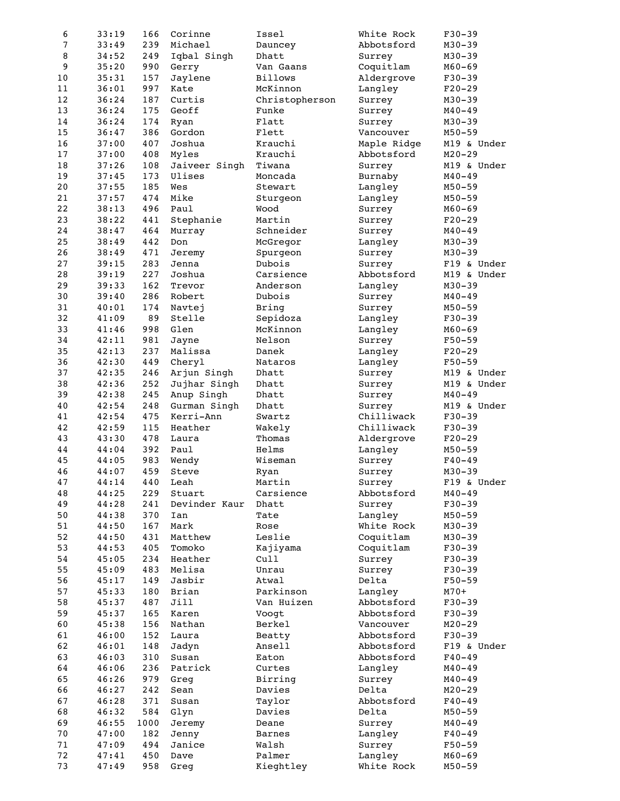| 6      | 33:19 | 166  | Corinne       | Issel          | White Rock  | $F30-39$    |
|--------|-------|------|---------------|----------------|-------------|-------------|
| 7      | 33:49 | 239  | Michael       | Dauncey        | Abbotsford  | $M30 - 39$  |
| 8      | 34:52 | 249  | Iqbal Singh   | Dhatt          | Surrey      | $M30 - 39$  |
| 9      | 35:20 | 990  | Gerry         | Van Gaans      | Coquitlam   | $M60 - 69$  |
| 10     | 35:31 | 157  | Jaylene       | <b>Billows</b> | Aldergrove  | $F30-39$    |
| 11     | 36:01 | 997  | Kate          | McKinnon       | Langley     | $F20-29$    |
| 12     | 36:24 | 187  | Curtis        | Christopherson | Surrey      | $M30 - 39$  |
| 13     | 36:24 | 175  | Geoff         | Funke          | Surrey      | $M40 - 49$  |
| 14     | 36:24 | 174  | Ryan          | Flatt          | Surrey      | $M30 - 39$  |
| 15     | 36:47 | 386  | Gordon        | Flett          | Vancouver   | $M50 - 59$  |
| 16     | 37:00 | 407  | Joshua        | Krauchi        | Maple Ridge | M19 & Under |
| 17     | 37:00 | 408  | Myles         | Krauchi        | Abbotsford  | $M20 - 29$  |
| 18     | 37:26 | 108  | Jaiveer Singh | Tiwana         | Surrey      | M19 & Under |
| 19     | 37:45 | 173  | Ulises        | Moncada        | Burnaby     | $M40 - 49$  |
| $20$   | 37:55 | 185  | Wes           | Stewart        | Langley     | $M50 - 59$  |
| 21     | 37:57 | 474  | Mike          | Sturgeon       | Langley     | $M50 - 59$  |
| 22     | 38:13 | 496  | Paul          | Wood           | Surrey      | $M60 - 69$  |
| 23     | 38:22 | 441  | Stephanie     | Martin         | Surrey      | $F20-29$    |
| 24     | 38:47 | 464  | Murray        | Schneider      | Surrey      | $M40 - 49$  |
| 25     | 38:49 | 442  | Don           | McGregor       | Langley     | $M30 - 39$  |
| 26     | 38:49 | 471  | Jeremy        | Spurgeon       | Surrey      | $M30 - 39$  |
| 27     | 39:15 | 283  | Jenna         | Dubois         | Surrey      | F19 & Under |
| 28     | 39:19 | 227  | Joshua        | Carsience      | Abbotsford  | M19 & Under |
| 29     | 39:33 | 162  | Trevor        | Anderson       | Langley     | $M30 - 39$  |
| 30     | 39:40 | 286  | Robert        | Dubois         | Surrey      | $M40 - 49$  |
| 31     | 40:01 | 174  | Navtej        | Bring          | Surrey      | $M50 - 59$  |
| 32     | 41:09 | 89   | Stelle        | Sepidoza       | Langley     | $F30-39$    |
| 33     | 41:46 | 998  | Glen          | McKinnon       | Langley     | $M60 - 69$  |
| 34     | 42:11 | 981  | Jayne         | Nelson         | Surrey      | $F50 - 59$  |
| 35     | 42:13 | 237  | Malissa       | Danek          | Langley     | $F20-29$    |
| 36     | 42:30 | 449  | Cheryl        | Nataros        | Langley     | $F50 - 59$  |
| 37     | 42:35 | 246  | Arjun Singh   | Dhatt          | Surrey      | M19 & Under |
| 38     | 42:36 | 252  | Jujhar Singh  | Dhatt          | Surrey      | M19 & Under |
| 39     | 42:38 | 245  | Anup Singh    | Dhatt          | Surrey      | $M40 - 49$  |
| 40     | 42:54 | 248  | Gurman Singh  | Dhatt          | Surrey      | M19 & Under |
| 41     | 42:54 | 475  | Kerri-Ann     | Swartz         | Chilliwack  | $F30-39$    |
| 42     | 42:59 | 115  | Heather       | Wakely         | Chilliwack  | $F30-39$    |
| 43     | 43:30 | 478  | Laura         | Thomas         | Aldergrove  | $F20-29$    |
| 44     | 44:04 | 392  | Paul          | Helms          | Langley     | $M50 - 59$  |
| 45     | 44:05 | 983  | Wendy         | Wiseman        | Surrey      | $F40 - 49$  |
| 46     | 44:07 | 459  | Steve         | Ryan           | Surrey      | $M30 - 39$  |
| 47     | 44:14 |      | 440 Leah      | Martin         | Surrey      | F19 & Under |
| 48     | 44:25 | 229  | Stuart        | Carsience      | Abbotsford  | $M40 - 49$  |
| 49     | 44:28 | 241  | Devinder Kaur | Dhatt          | Surrey      | $F30-39$    |
| 50     | 44:38 | 370  | Ian           | Tate           | Langley     | $M50 - 59$  |
| 51     | 44:50 | 167  | Mark          | Rose           | White Rock  | $M30 - 39$  |
| 52     | 44:50 | 431  | Matthew       | Leslie         | Coquitlam   | $M30 - 39$  |
| 53     | 44:53 | 405  | Tomoko        | Kajiyama       | Coquitlam   | $F30-39$    |
| 54     | 45:05 | 234  | Heather       | Cull           | Surrey      | $F30-39$    |
| 55     | 45:09 | 483  | Melisa        | Unrau          | Surrey      | $F30-39$    |
| 56     | 45:17 | 149  | Jasbir        | Atwal          | Delta       | $F50 - 59$  |
| 57     | 45:33 | 180  | Brian         | Parkinson      | Langley     | $M70+$      |
| 58     | 45:37 | 487  | Jill          | Van Huizen     | Abbotsford  | $F30-39$    |
| 59     | 45:37 | 165  | Karen         | Voogt          | Abbotsford  | $F30-39$    |
| 60     | 45:38 | 156  | Nathan        | Berkel         | Vancouver   | $M20 - 29$  |
| 61     | 46:00 | 152  | Laura         | Beatty         | Abbotsford  | $F30-39$    |
| 62     | 46:01 | 148  | Jadyn         | Ansell         | Abbotsford  | F19 & Under |
| 63     | 46:03 | 310  | Susan         | Eaton          | Abbotsford  | $F40 - 49$  |
| 64     | 46:06 | 236  | Patrick       | Curtes         | Langley     | $M40 - 49$  |
| 65     | 46:26 | 979  | Greg          | Birring        | Surrey      | $M40 - 49$  |
| 66     | 46:27 | 242  | Sean          | Davies         | Delta       | $M20 - 29$  |
| 67     | 46:28 | 371  | Susan         | Taylor         | Abbotsford  | $F40 - 49$  |
| 68     | 46:32 | 584  | Glyn          | Davies         | Delta       | $M50 - 59$  |
| 69     | 46:55 | 1000 | Jeremy        | Deane          | Surrey      | $M40 - 49$  |
| $7\,0$ | 47:00 | 182  | Jenny         | Barnes         | Langley     | $F40 - 49$  |
| $7\,1$ | 47:09 | 494  | Janice        | Walsh          | Surrey      | $F50-59$    |
| 72     | 47:41 | 450  | Dave          | Palmer         | Langley     | $M60 - 69$  |
| 73     | 47:49 | 958  | Greg          | Kieghtley      | White Rock  | $M50 - 59$  |